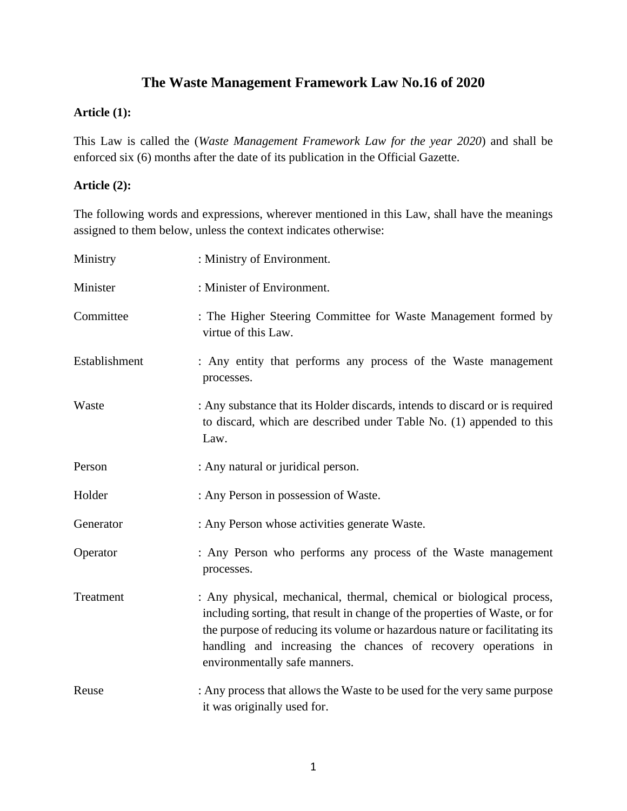# **The Waste Management Framework Law No.16 of 2020**

#### **Article (1):**

This Law is called the (*Waste Management Framework Law for the year 2020*) and shall be enforced six (6) months after the date of its publication in the Official Gazette.

#### **Article (2):**

The following words and expressions, wherever mentioned in this Law, shall have the meanings assigned to them below, unless the context indicates otherwise:

| Ministry      | : Ministry of Environment.                                                                                                                                                                                                                                                                                                          |
|---------------|-------------------------------------------------------------------------------------------------------------------------------------------------------------------------------------------------------------------------------------------------------------------------------------------------------------------------------------|
| Minister      | : Minister of Environment.                                                                                                                                                                                                                                                                                                          |
| Committee     | : The Higher Steering Committee for Waste Management formed by<br>virtue of this Law.                                                                                                                                                                                                                                               |
| Establishment | : Any entity that performs any process of the Waste management<br>processes.                                                                                                                                                                                                                                                        |
| Waste         | : Any substance that its Holder discards, intends to discard or is required<br>to discard, which are described under Table No. (1) appended to this<br>Law.                                                                                                                                                                         |
| Person        | : Any natural or juridical person.                                                                                                                                                                                                                                                                                                  |
| Holder        | : Any Person in possession of Waste.                                                                                                                                                                                                                                                                                                |
| Generator     | : Any Person whose activities generate Waste.                                                                                                                                                                                                                                                                                       |
| Operator      | : Any Person who performs any process of the Waste management<br>processes.                                                                                                                                                                                                                                                         |
| Treatment     | : Any physical, mechanical, thermal, chemical or biological process,<br>including sorting, that result in change of the properties of Waste, or for<br>the purpose of reducing its volume or hazardous nature or facilitating its<br>handling and increasing the chances of recovery operations in<br>environmentally safe manners. |
| Reuse         | : Any process that allows the Waste to be used for the very same purpose<br>it was originally used for.                                                                                                                                                                                                                             |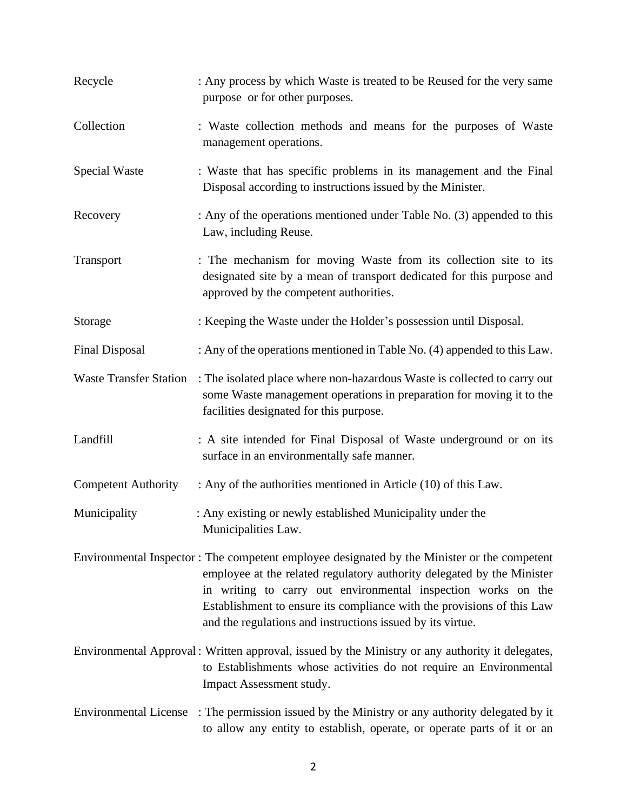| Recycle                    | : Any process by which Waste is treated to be Reused for the very same<br>purpose or for other purposes.                                                                                                                                                                                                                                                                       |
|----------------------------|--------------------------------------------------------------------------------------------------------------------------------------------------------------------------------------------------------------------------------------------------------------------------------------------------------------------------------------------------------------------------------|
| Collection                 | : Waste collection methods and means for the purposes of Waste<br>management operations.                                                                                                                                                                                                                                                                                       |
| Special Waste              | : Waste that has specific problems in its management and the Final<br>Disposal according to instructions issued by the Minister.                                                                                                                                                                                                                                               |
| Recovery                   | : Any of the operations mentioned under Table No. (3) appended to this<br>Law, including Reuse.                                                                                                                                                                                                                                                                                |
| Transport                  | : The mechanism for moving Waste from its collection site to its<br>designated site by a mean of transport dedicated for this purpose and<br>approved by the competent authorities.                                                                                                                                                                                            |
| Storage                    | : Keeping the Waste under the Holder's possession until Disposal.                                                                                                                                                                                                                                                                                                              |
| <b>Final Disposal</b>      | : Any of the operations mentioned in Table No. (4) appended to this Law.                                                                                                                                                                                                                                                                                                       |
|                            | Waste Transfer Station : The isolated place where non-hazardous Waste is collected to carry out<br>some Waste management operations in preparation for moving it to the<br>facilities designated for this purpose.                                                                                                                                                             |
| Landfill                   | : A site intended for Final Disposal of Waste underground or on its<br>surface in an environmentally safe manner.                                                                                                                                                                                                                                                              |
| <b>Competent Authority</b> | : Any of the authorities mentioned in Article (10) of this Law.                                                                                                                                                                                                                                                                                                                |
| Municipality               | : Any existing or newly established Municipality under the<br>Municipalities Law.                                                                                                                                                                                                                                                                                              |
|                            | Environmental Inspector: The competent employee designated by the Minister or the competent<br>employee at the related regulatory authority delegated by the Minister<br>in writing to carry out environmental inspection works on the<br>Establishment to ensure its compliance with the provisions of this Law<br>and the regulations and instructions issued by its virtue. |
|                            | Environmental Approval: Written approval, issued by the Ministry or any authority it delegates,<br>to Establishments whose activities do not require an Environmental<br>Impact Assessment study.                                                                                                                                                                              |
|                            | Environmental License : The permission issued by the Ministry or any authority delegated by it<br>to allow any entity to establish, operate, or operate parts of it or an                                                                                                                                                                                                      |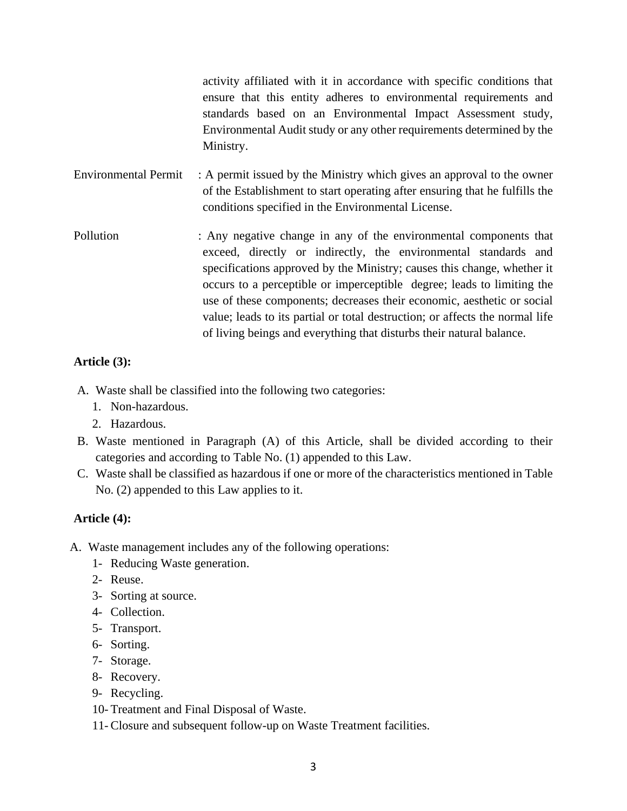activity affiliated with it in accordance with specific conditions that ensure that this entity adheres to environmental requirements and standards based on an Environmental Impact Assessment study, Environmental Audit study or any other requirements determined by the Ministry.

- Environmental Permit : A permit issued by the Ministry which gives an approval to the owner of the Establishment to start operating after ensuring that he fulfills the conditions specified in the Environmental License.
- Pollution : Any negative change in any of the environmental components that exceed, directly or indirectly, the environmental standards and specifications approved by the Ministry; causes this change, whether it occurs to a perceptible or imperceptible degree; leads to limiting the use of these components; decreases their economic, aesthetic or social value; leads to its partial or total destruction; or affects the normal life of living beings and everything that disturbs their natural balance.

### **Article (3):**

- A. Waste shall be classified into the following two categories:
	- 1. Non-hazardous.
	- 2. Hazardous.
- B. Waste mentioned in Paragraph (A) of this Article, shall be divided according to their categories and according to Table No. (1) appended to this Law.
- C. Waste shall be classified as hazardous if one or more of the characteristics mentioned in Table No. (2) appended to this Law applies to it.

#### **Article (4):**

- A. Waste management includes any of the following operations:
	- 1- Reducing Waste generation.
	- 2- Reuse.
	- 3- Sorting at source.
	- 4- Collection.
	- 5- Transport.
	- 6- Sorting.
	- 7- Storage.
	- 8- Recovery.
	- 9- Recycling.
	- 10- Treatment and Final Disposal of Waste.
	- 11- Closure and subsequent follow-up on Waste Treatment facilities.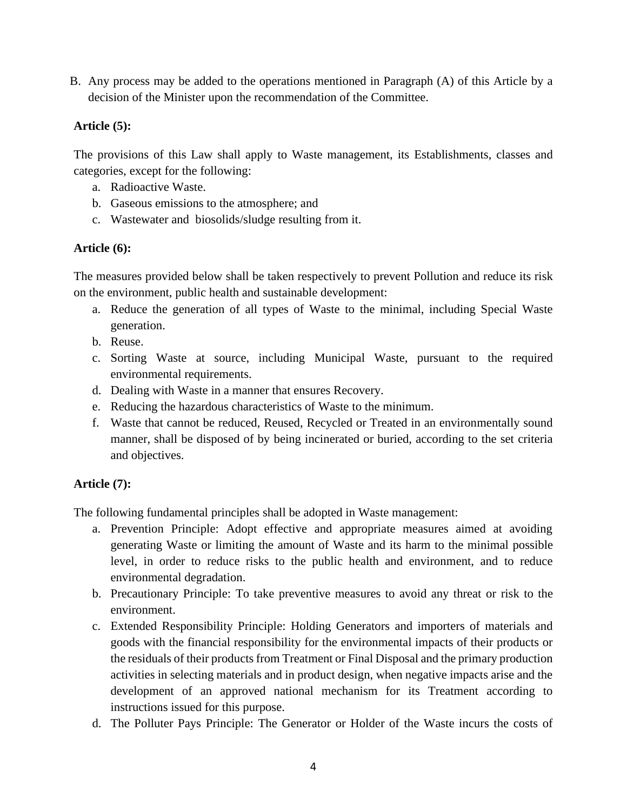B. Any process may be added to the operations mentioned in Paragraph (A) of this Article by a decision of the Minister upon the recommendation of the Committee.

## **Article (5):**

The provisions of this Law shall apply to Waste management, its Establishments, classes and categories, except for the following:

- a. Radioactive Waste.
- b. Gaseous emissions to the atmosphere; and
- c. Wastewater and biosolids/sludge resulting from it.

### **Article (6):**

The measures provided below shall be taken respectively to prevent Pollution and reduce its risk on the environment, public health and sustainable development:

- a. Reduce the generation of all types of Waste to the minimal, including Special Waste generation.
- b. Reuse.
- c. Sorting Waste at source, including Municipal Waste, pursuant to the required environmental requirements.
- d. Dealing with Waste in a manner that ensures Recovery.
- e. Reducing the hazardous characteristics of Waste to the minimum.
- f. Waste that cannot be reduced, Reused, Recycled or Treated in an environmentally sound manner, shall be disposed of by being incinerated or buried, according to the set criteria and objectives.

## **Article (7):**

The following fundamental principles shall be adopted in Waste management:

- a. Prevention Principle: Adopt effective and appropriate measures aimed at avoiding generating Waste or limiting the amount of Waste and its harm to the minimal possible level, in order to reduce risks to the public health and environment, and to reduce environmental degradation.
- b. Precautionary Principle: To take preventive measures to avoid any threat or risk to the environment.
- c. Extended Responsibility Principle: Holding Generators and importers of materials and goods with the financial responsibility for the environmental impacts of their products or the residuals of their products from Treatment or Final Disposal and the primary production activities in selecting materials and in product design, when negative impacts arise and the development of an approved national mechanism for its Treatment according to instructions issued for this purpose.
- d. The Polluter Pays Principle: The Generator or Holder of the Waste incurs the costs of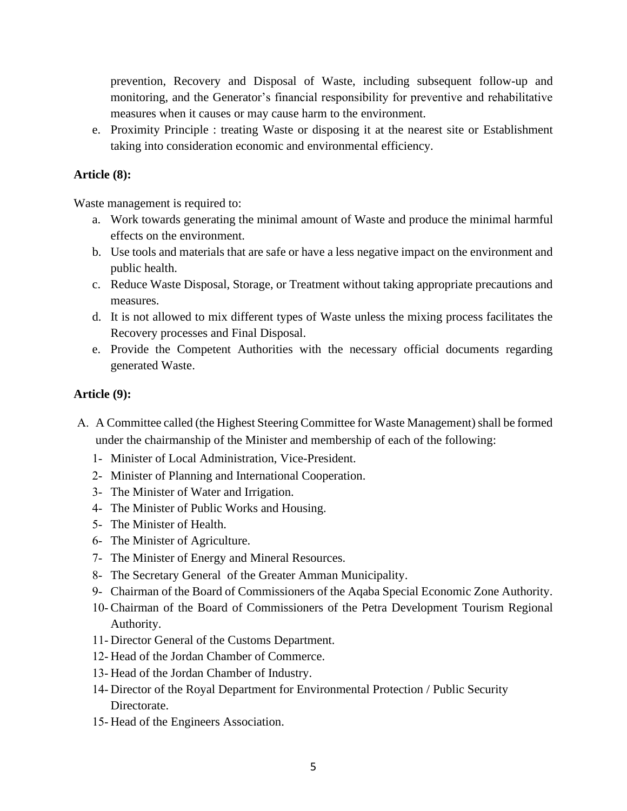prevention, Recovery and Disposal of Waste, including subsequent follow-up and monitoring, and the Generator's financial responsibility for preventive and rehabilitative measures when it causes or may cause harm to the environment.

e. Proximity Principle : treating Waste or disposing it at the nearest site or Establishment taking into consideration economic and environmental efficiency.

### **Article (8):**

Waste management is required to:

- a. Work towards generating the minimal amount of Waste and produce the minimal harmful effects on the environment.
- b. Use tools and materials that are safe or have a less negative impact on the environment and public health.
- c. Reduce Waste Disposal, Storage, or Treatment without taking appropriate precautions and measures.
- d. It is not allowed to mix different types of Waste unless the mixing process facilitates the Recovery processes and Final Disposal.
- e. Provide the Competent Authorities with the necessary official documents regarding generated Waste.

#### **Article (9):**

- A. A Committee called (the Highest Steering Committee for Waste Management) shall be formed under the chairmanship of the Minister and membership of each of the following:
	- 1- Minister of Local Administration, Vice-President.
	- 2- Minister of Planning and International Cooperation.
	- 3- The Minister of Water and Irrigation.
	- 4- The Minister of Public Works and Housing.
	- 5- The Minister of Health.
	- 6- The Minister of Agriculture.
	- 7- The Minister of Energy and Mineral Resources.
	- 8- The Secretary General of the Greater Amman Municipality.
	- 9- Chairman of the Board of Commissioners of the Aqaba Special Economic Zone Authority.
	- 10- Chairman of the Board of Commissioners of the Petra Development Tourism Regional Authority.
	- 11- Director General of the Customs Department.
	- 12- Head of the Jordan Chamber of Commerce.
	- 13- Head of the Jordan Chamber of Industry.
	- 14- Director of the Royal Department for Environmental Protection / Public Security Directorate.
	- 15- Head of the Engineers Association.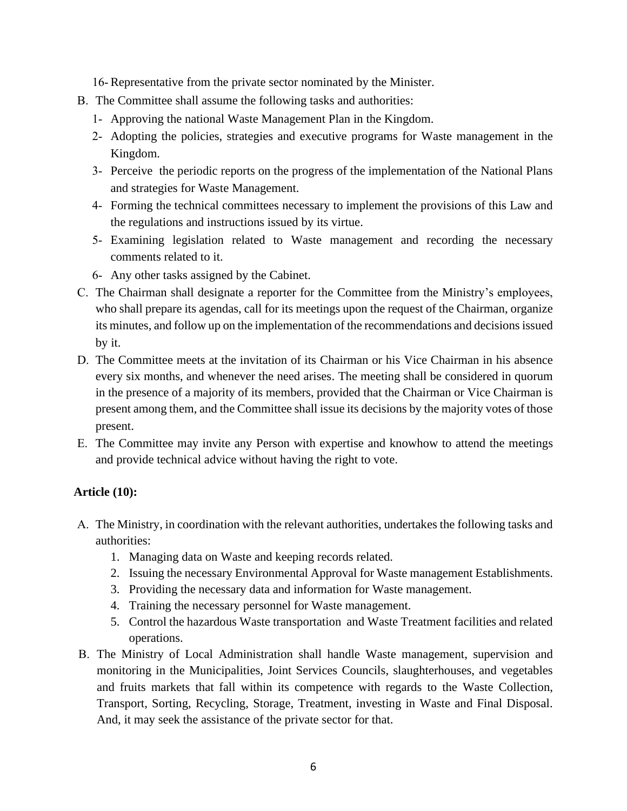16- Representative from the private sector nominated by the Minister.

- B. The Committee shall assume the following tasks and authorities:
	- 1- Approving the national Waste Management Plan in the Kingdom.
	- 2- Adopting the policies, strategies and executive programs for Waste management in the Kingdom.
	- 3- Perceive the periodic reports on the progress of the implementation of the National Plans and strategies for Waste Management.
	- 4- Forming the technical committees necessary to implement the provisions of this Law and the regulations and instructions issued by its virtue.
	- 5- Examining legislation related to Waste management and recording the necessary comments related to it.
	- 6- Any other tasks assigned by the Cabinet.
- C. The Chairman shall designate a reporter for the Committee from the Ministry's employees, who shall prepare its agendas, call for its meetings upon the request of the Chairman, organize its minutes, and follow up on the implementation of the recommendations and decisions issued by it.
- D. The Committee meets at the invitation of its Chairman or his Vice Chairman in his absence every six months, and whenever the need arises. The meeting shall be considered in quorum in the presence of a majority of its members, provided that the Chairman or Vice Chairman is present among them, and the Committee shall issue its decisions by the majority votes of those present.
- E. The Committee may invite any Person with expertise and knowhow to attend the meetings and provide technical advice without having the right to vote.

## **Article (10):**

- A. The Ministry, in coordination with the relevant authorities, undertakes the following tasks and authorities:
	- 1. Managing data on Waste and keeping records related.
	- 2. Issuing the necessary Environmental Approval for Waste management Establishments.
	- 3. Providing the necessary data and information for Waste management.
	- 4. Training the necessary personnel for Waste management.
	- 5. Control the hazardous Waste transportation and Waste Treatment facilities and related operations.
- B. The Ministry of Local Administration shall handle Waste management, supervision and monitoring in the Municipalities, Joint Services Councils, slaughterhouses, and vegetables and fruits markets that fall within its competence with regards to the Waste Collection, Transport, Sorting, Recycling, Storage, Treatment, investing in Waste and Final Disposal. And, it may seek the assistance of the private sector for that.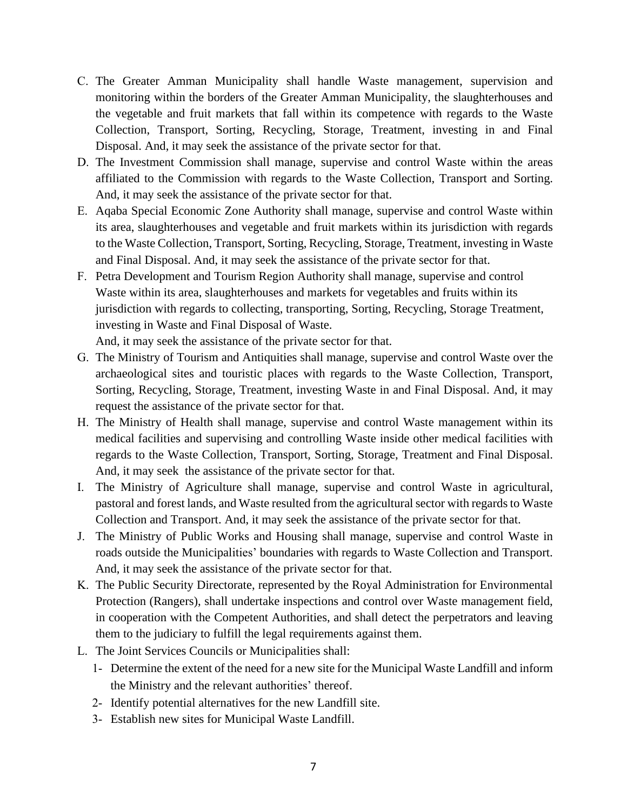- C. The Greater Amman Municipality shall handle Waste management, supervision and monitoring within the borders of the Greater Amman Municipality, the slaughterhouses and the vegetable and fruit markets that fall within its competence with regards to the Waste Collection, Transport, Sorting, Recycling, Storage, Treatment, investing in and Final Disposal. And, it may seek the assistance of the private sector for that.
- D. The Investment Commission shall manage, supervise and control Waste within the areas affiliated to the Commission with regards to the Waste Collection, Transport and Sorting. And, it may seek the assistance of the private sector for that.
- E. Aqaba Special Economic Zone Authority shall manage, supervise and control Waste within its area, slaughterhouses and vegetable and fruit markets within its jurisdiction with regards to the Waste Collection, Transport, Sorting, Recycling, Storage, Treatment, investing in Waste and Final Disposal. And, it may seek the assistance of the private sector for that.
- F. Petra Development and Tourism Region Authority shall manage, supervise and control Waste within its area, slaughterhouses and markets for vegetables and fruits within its jurisdiction with regards to collecting, transporting, Sorting, Recycling, Storage Treatment, investing in Waste and Final Disposal of Waste.

And, it may seek the assistance of the private sector for that.

- G. The Ministry of Tourism and Antiquities shall manage, supervise and control Waste over the archaeological sites and touristic places with regards to the Waste Collection, Transport, Sorting, Recycling, Storage, Treatment, investing Waste in and Final Disposal. And, it may request the assistance of the private sector for that.
- H. The Ministry of Health shall manage, supervise and control Waste management within its medical facilities and supervising and controlling Waste inside other medical facilities with regards to the Waste Collection, Transport, Sorting, Storage, Treatment and Final Disposal. And, it may seek the assistance of the private sector for that.
- I. The Ministry of Agriculture shall manage, supervise and control Waste in agricultural, pastoral and forest lands, and Waste resulted from the agricultural sector with regards to Waste Collection and Transport. And, it may seek the assistance of the private sector for that.
- J. The Ministry of Public Works and Housing shall manage, supervise and control Waste in roads outside the Municipalities' boundaries with regards to Waste Collection and Transport. And, it may seek the assistance of the private sector for that.
- K. The Public Security Directorate, represented by the Royal Administration for Environmental Protection (Rangers), shall undertake inspections and control over Waste management field, in cooperation with the Competent Authorities, and shall detect the perpetrators and leaving them to the judiciary to fulfill the legal requirements against them.
- L. The Joint Services Councils or Municipalities shall:
	- 1- Determine the extent of the need for a new site for the Municipal Waste Landfill and inform the Ministry and the relevant authorities' thereof.
	- 2- Identify potential alternatives for the new Landfill site.
	- 3- Establish new sites for Municipal Waste Landfill.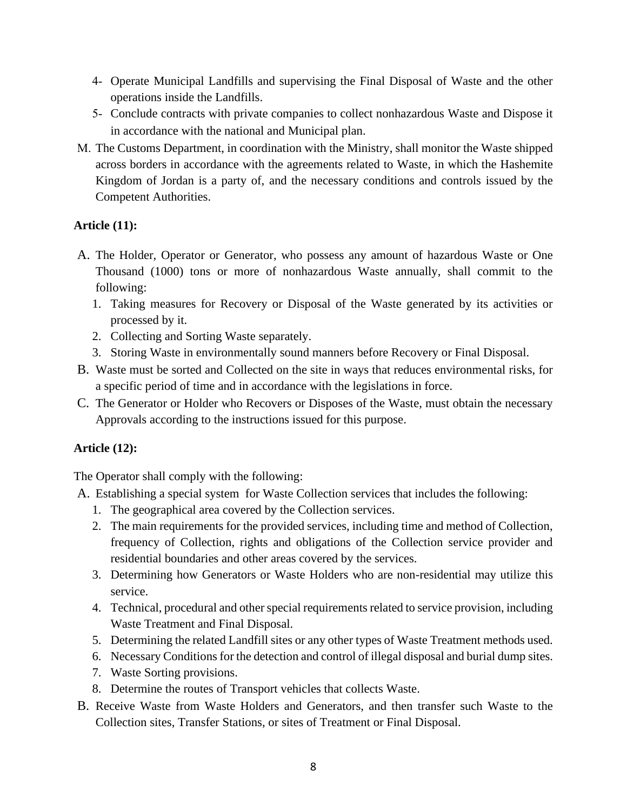- 4- Operate Municipal Landfills and supervising the Final Disposal of Waste and the other operations inside the Landfills.
- 5- Conclude contracts with private companies to collect nonhazardous Waste and Dispose it in accordance with the national and Municipal plan.
- M. The Customs Department, in coordination with the Ministry, shall monitor the Waste shipped across borders in accordance with the agreements related to Waste, in which the Hashemite Kingdom of Jordan is a party of, and the necessary conditions and controls issued by the Competent Authorities.

### **Article (11):**

- A. The Holder, Operator or Generator, who possess any amount of hazardous Waste or One Thousand (1000) tons or more of nonhazardous Waste annually, shall commit to the following:
	- 1. Taking measures for Recovery or Disposal of the Waste generated by its activities or processed by it.
	- 2. Collecting and Sorting Waste separately.
	- 3. Storing Waste in environmentally sound manners before Recovery or Final Disposal.
- B. Waste must be sorted and Collected on the site in ways that reduces environmental risks, for a specific period of time and in accordance with the legislations in force.
- C. The Generator or Holder who Recovers or Disposes of the Waste, must obtain the necessary Approvals according to the instructions issued for this purpose.

## **Article (12):**

The Operator shall comply with the following:

A. Establishing a special system for Waste Collection services that includes the following:

- 1. The geographical area covered by the Collection services.
- 2. The main requirements for the provided services, including time and method of Collection, frequency of Collection, rights and obligations of the Collection service provider and residential boundaries and other areas covered by the services.
- 3. Determining how Generators or Waste Holders who are non-residential may utilize this service.
- 4. Technical, procedural and other special requirements related to service provision, including Waste Treatment and Final Disposal.
- 5. Determining the related Landfill sites or any other types of Waste Treatment methods used.
- 6. Necessary Conditions for the detection and control of illegal disposal and burial dump sites.
- 7. Waste Sorting provisions.
- 8. Determine the routes of Transport vehicles that collects Waste.
- B. Receive Waste from Waste Holders and Generators, and then transfer such Waste to the Collection sites, Transfer Stations, or sites of Treatment or Final Disposal.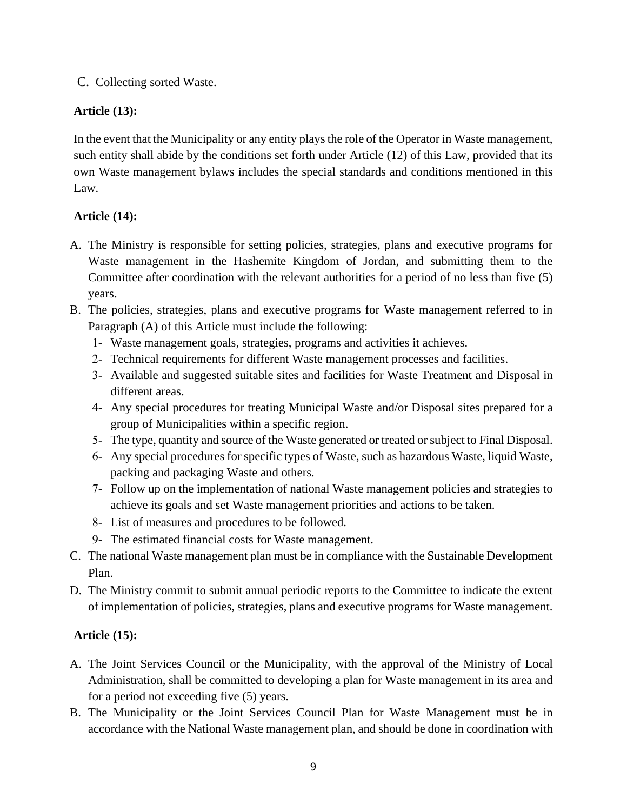C. Collecting sorted Waste.

## **Article (13):**

In the event that the Municipality or any entity plays the role of the Operator in Waste management, such entity shall abide by the conditions set forth under Article (12) of this Law, provided that its own Waste management bylaws includes the special standards and conditions mentioned in this Law.

## **Article (14):**

- A. The Ministry is responsible for setting policies, strategies, plans and executive programs for Waste management in the Hashemite Kingdom of Jordan, and submitting them to the Committee after coordination with the relevant authorities for a period of no less than five (5) years.
- B. The policies, strategies, plans and executive programs for Waste management referred to in Paragraph (A) of this Article must include the following:
	- 1- Waste management goals, strategies, programs and activities it achieves.
	- 2- Technical requirements for different Waste management processes and facilities.
	- 3- Available and suggested suitable sites and facilities for Waste Treatment and Disposal in different areas.
	- 4- Any special procedures for treating Municipal Waste and/or Disposal sites prepared for a group of Municipalities within a specific region.
	- 5- The type, quantity and source of the Waste generated or treated or subject to Final Disposal.
	- 6- Any special procedures for specific types of Waste, such as hazardous Waste, liquid Waste, packing and packaging Waste and others.
	- 7- Follow up on the implementation of national Waste management policies and strategies to achieve its goals and set Waste management priorities and actions to be taken.
	- 8- List of measures and procedures to be followed.
	- 9- The estimated financial costs for Waste management.
- C. The national Waste management plan must be in compliance with the Sustainable Development Plan.
- D. The Ministry commit to submit annual periodic reports to the Committee to indicate the extent of implementation of policies, strategies, plans and executive programs for Waste management.

# **Article (15):**

- A. The Joint Services Council or the Municipality, with the approval of the Ministry of Local Administration, shall be committed to developing a plan for Waste management in its area and for a period not exceeding five (5) years.
- B. The Municipality or the Joint Services Council Plan for Waste Management must be in accordance with the National Waste management plan, and should be done in coordination with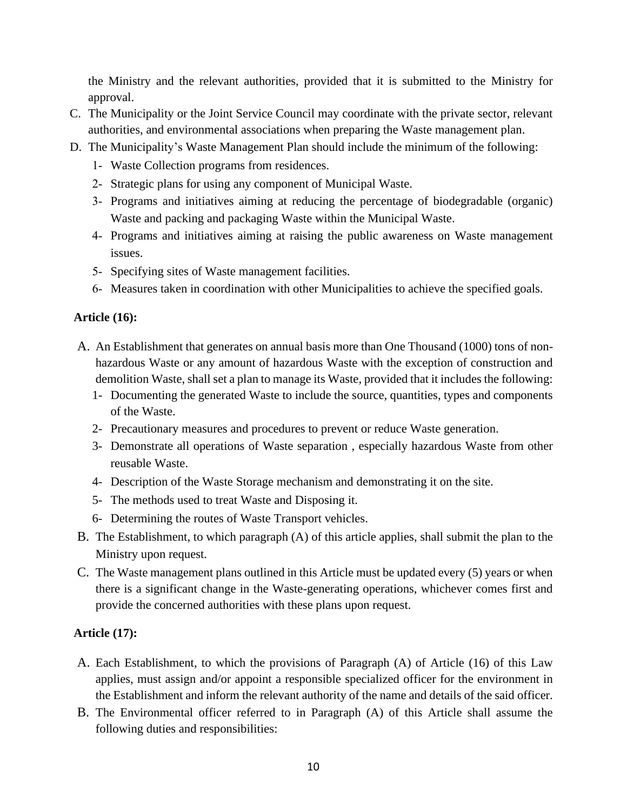the Ministry and the relevant authorities, provided that it is submitted to the Ministry for approval.

- C. The Municipality or the Joint Service Council may coordinate with the private sector, relevant authorities, and environmental associations when preparing the Waste management plan.
- D. The Municipality's Waste Management Plan should include the minimum of the following:
	- 1- Waste Collection programs from residences.
	- 2- Strategic plans for using any component of Municipal Waste.
	- 3- Programs and initiatives aiming at reducing the percentage of biodegradable (organic) Waste and packing and packaging Waste within the Municipal Waste.
	- 4- Programs and initiatives aiming at raising the public awareness on Waste management issues.
	- 5- Specifying sites of Waste management facilities.
	- 6- Measures taken in coordination with other Municipalities to achieve the specified goals.

#### **Article (16):**

- A. An Establishment that generates on annual basis more than One Thousand (1000) tons of nonhazardous Waste or any amount of hazardous Waste with the exception of construction and demolition Waste, shall set a plan to manage its Waste, provided that it includes the following:
	- 1- Documenting the generated Waste to include the source, quantities, types and components of the Waste.
	- 2- Precautionary measures and procedures to prevent or reduce Waste generation.
	- 3- Demonstrate all operations of Waste separation , especially hazardous Waste from other reusable Waste.
	- 4- Description of the Waste Storage mechanism and demonstrating it on the site.
	- 5- The methods used to treat Waste and Disposing it.
	- 6- Determining the routes of Waste Transport vehicles.
- B. The Establishment, to which paragraph (A) of this article applies, shall submit the plan to the Ministry upon request.
- C. The Waste management plans outlined in this Article must be updated every (5) years or when there is a significant change in the Waste-generating operations, whichever comes first and provide the concerned authorities with these plans upon request.

## **Article (17):**

- A. Each Establishment, to which the provisions of Paragraph (A) of Article (16) of this Law applies, must assign and/or appoint a responsible specialized officer for the environment in the Establishment and inform the relevant authority of the name and details of the said officer.
- B. The Environmental officer referred to in Paragraph (A) of this Article shall assume the following duties and responsibilities: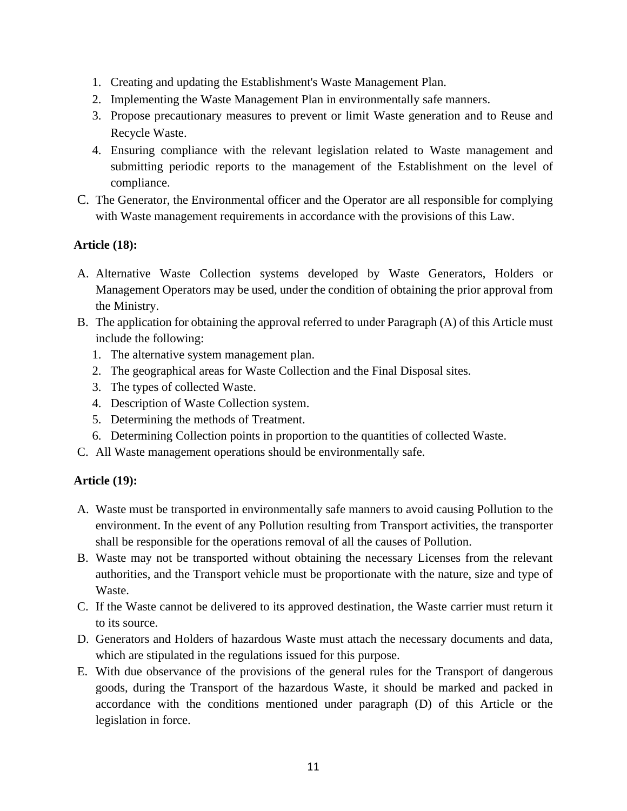- 1. Creating and updating the Establishment's Waste Management Plan.
- 2. Implementing the Waste Management Plan in environmentally safe manners.
- 3. Propose precautionary measures to prevent or limit Waste generation and to Reuse and Recycle Waste.
- 4. Ensuring compliance with the relevant legislation related to Waste management and submitting periodic reports to the management of the Establishment on the level of compliance.
- C. The Generator, the Environmental officer and the Operator are all responsible for complying with Waste management requirements in accordance with the provisions of this Law.

#### **Article (18):**

- A. Alternative Waste Collection systems developed by Waste Generators, Holders or Management Operators may be used, under the condition of obtaining the prior approval from the Ministry.
- B. The application for obtaining the approval referred to under Paragraph (A) of this Article must include the following:
	- 1. The alternative system management plan.
	- 2. The geographical areas for Waste Collection and the Final Disposal sites.
	- 3. The types of collected Waste.
	- 4. Description of Waste Collection system.
	- 5. Determining the methods of Treatment.
	- 6. Determining Collection points in proportion to the quantities of collected Waste.
- C. All Waste management operations should be environmentally safe.

#### **Article (19):**

- A. Waste must be transported in environmentally safe manners to avoid causing Pollution to the environment. In the event of any Pollution resulting from Transport activities, the transporter shall be responsible for the operations removal of all the causes of Pollution.
- B. Waste may not be transported without obtaining the necessary Licenses from the relevant authorities, and the Transport vehicle must be proportionate with the nature, size and type of Waste.
- C. If the Waste cannot be delivered to its approved destination, the Waste carrier must return it to its source.
- D. Generators and Holders of hazardous Waste must attach the necessary documents and data, which are stipulated in the regulations issued for this purpose.
- E. With due observance of the provisions of the general rules for the Transport of dangerous goods, during the Transport of the hazardous Waste, it should be marked and packed in accordance with the conditions mentioned under paragraph (D) of this Article or the legislation in force.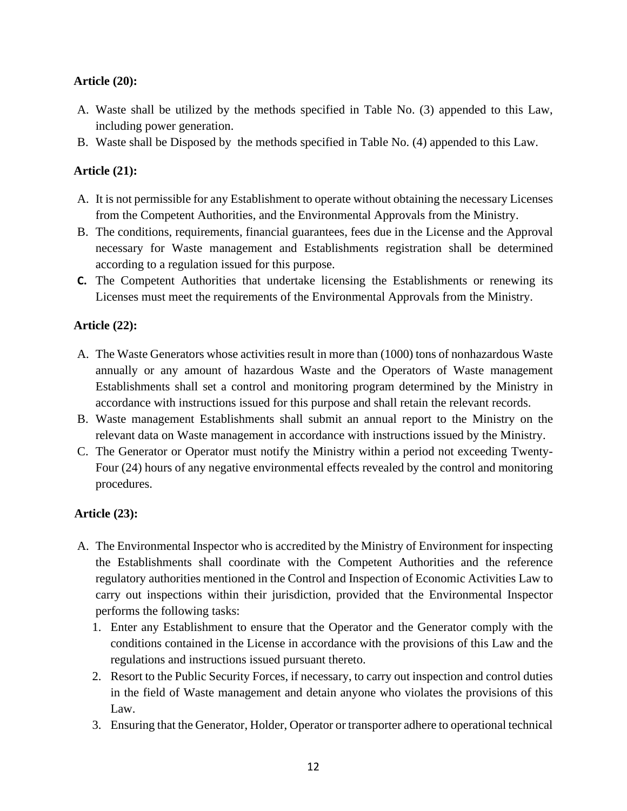### **Article (20):**

- A. Waste shall be utilized by the methods specified in Table No. (3) appended to this Law, including power generation.
- B. Waste shall be Disposed by the methods specified in Table No. (4) appended to this Law.

## **Article (21):**

- A. It is not permissible for any Establishment to operate without obtaining the necessary Licenses from the Competent Authorities, and the Environmental Approvals from the Ministry.
- B. The conditions, requirements, financial guarantees, fees due in the License and the Approval necessary for Waste management and Establishments registration shall be determined according to a regulation issued for this purpose.
- **C.** The Competent Authorities that undertake licensing the Establishments or renewing its Licenses must meet the requirements of the Environmental Approvals from the Ministry.

### **Article (22):**

- A. The Waste Generators whose activities result in more than (1000) tons of nonhazardous Waste annually or any amount of hazardous Waste and the Operators of Waste management Establishments shall set a control and monitoring program determined by the Ministry in accordance with instructions issued for this purpose and shall retain the relevant records.
- B. Waste management Establishments shall submit an annual report to the Ministry on the relevant data on Waste management in accordance with instructions issued by the Ministry.
- C. The Generator or Operator must notify the Ministry within a period not exceeding Twenty-Four (24) hours of any negative environmental effects revealed by the control and monitoring procedures.

## **Article (23):**

- A. The Environmental Inspector who is accredited by the Ministry of Environment for inspecting the Establishments shall coordinate with the Competent Authorities and the reference regulatory authorities mentioned in the Control and Inspection of Economic Activities Law to carry out inspections within their jurisdiction, provided that the Environmental Inspector performs the following tasks:
	- 1. Enter any Establishment to ensure that the Operator and the Generator comply with the conditions contained in the License in accordance with the provisions of this Law and the regulations and instructions issued pursuant thereto.
	- 2. Resort to the Public Security Forces, if necessary, to carry out inspection and control duties in the field of Waste management and detain anyone who violates the provisions of this Law.
	- 3. Ensuring that the Generator, Holder, Operator or transporter adhere to operational technical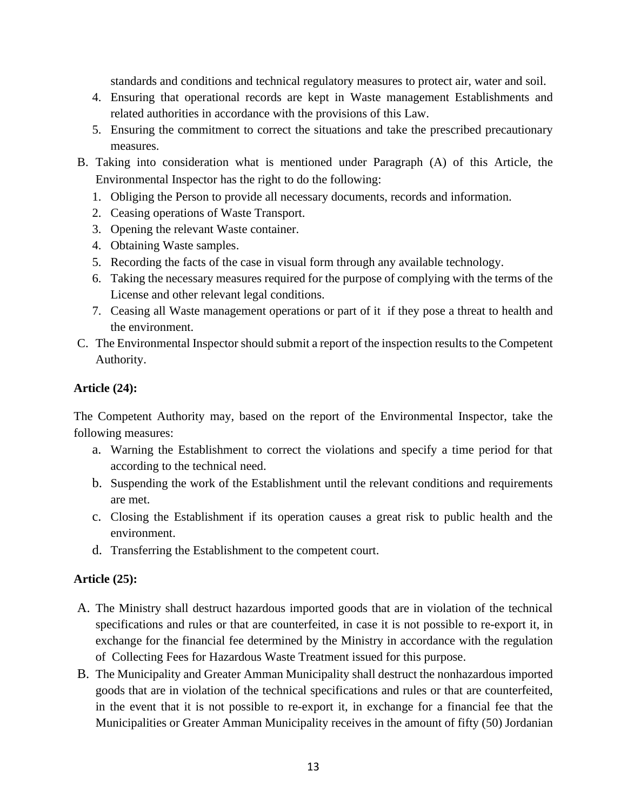standards and conditions and technical regulatory measures to protect air, water and soil.

- 4. Ensuring that operational records are kept in Waste management Establishments and related authorities in accordance with the provisions of this Law.
- 5. Ensuring the commitment to correct the situations and take the prescribed precautionary measures.
- B. Taking into consideration what is mentioned under Paragraph (A) of this Article, the Environmental Inspector has the right to do the following:
	- 1. Obliging the Person to provide all necessary documents, records and information.
	- 2. Ceasing operations of Waste Transport.
	- 3. Opening the relevant Waste container.
	- 4. Obtaining Waste samples.
	- 5. Recording the facts of the case in visual form through any available technology.
	- 6. Taking the necessary measures required for the purpose of complying with the terms of the License and other relevant legal conditions.
	- 7. Ceasing all Waste management operations or part of it if they pose a threat to health and the environment.
- C. The Environmental Inspector should submit a report of the inspection results to the Competent Authority.

#### **Article (24):**

The Competent Authority may, based on the report of the Environmental Inspector, take the following measures:

- a. Warning the Establishment to correct the violations and specify a time period for that according to the technical need.
- b. Suspending the work of the Establishment until the relevant conditions and requirements are met.
- c. Closing the Establishment if its operation causes a great risk to public health and the environment.
- d. Transferring the Establishment to the competent court.

## **Article (25):**

- A. The Ministry shall destruct hazardous imported goods that are in violation of the technical specifications and rules or that are counterfeited, in case it is not possible to re-export it, in exchange for the financial fee determined by the Ministry in accordance with the regulation of Collecting Fees for Hazardous Waste Treatment issued for this purpose.
- B. The Municipality and Greater Amman Municipality shall destruct the nonhazardous imported goods that are in violation of the technical specifications and rules or that are counterfeited, in the event that it is not possible to re-export it, in exchange for a financial fee that the Municipalities or Greater Amman Municipality receives in the amount of fifty (50) Jordanian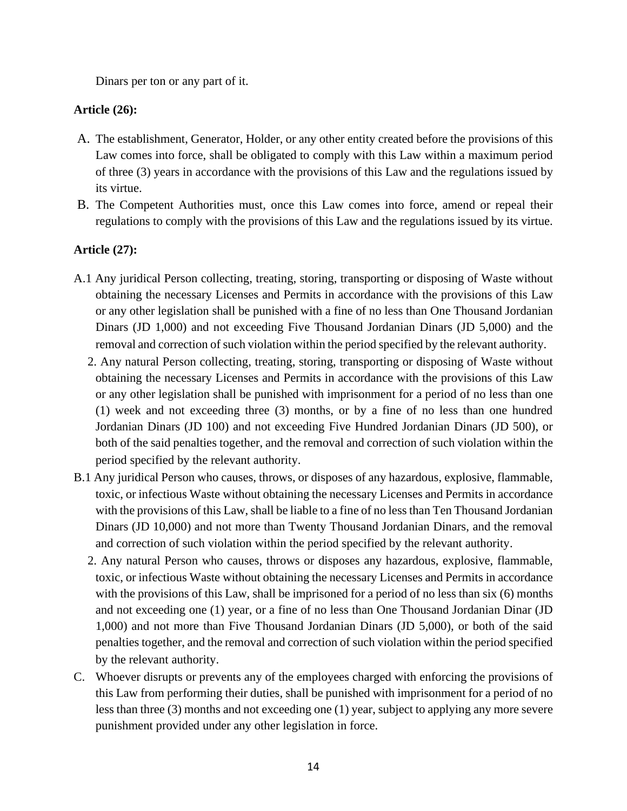Dinars per ton or any part of it.

### **Article (26):**

- A. The establishment, Generator, Holder, or any other entity created before the provisions of this Law comes into force, shall be obligated to comply with this Law within a maximum period of three (3) years in accordance with the provisions of this Law and the regulations issued by its virtue.
- B. The Competent Authorities must, once this Law comes into force, amend or repeal their regulations to comply with the provisions of this Law and the regulations issued by its virtue.

### **Article (27):**

- A.1 Any juridical Person collecting, treating, storing, transporting or disposing of Waste without obtaining the necessary Licenses and Permits in accordance with the provisions of this Law or any other legislation shall be punished with a fine of no less than One Thousand Jordanian Dinars (JD 1,000) and not exceeding Five Thousand Jordanian Dinars (JD 5,000) and the removal and correction of such violation within the period specified by the relevant authority.
	- 2. Any natural Person collecting, treating, storing, transporting or disposing of Waste without obtaining the necessary Licenses and Permits in accordance with the provisions of this Law or any other legislation shall be punished with imprisonment for a period of no less than one (1) week and not exceeding three (3) months, or by a fine of no less than one hundred Jordanian Dinars (JD 100) and not exceeding Five Hundred Jordanian Dinars (JD 500), or both of the said penalties together, and the removal and correction of such violation within the period specified by the relevant authority.
- B.1 Any juridical Person who causes, throws, or disposes of any hazardous, explosive, flammable, toxic, or infectious Waste without obtaining the necessary Licenses and Permits in accordance with the provisions of this Law, shall be liable to a fine of no less than Ten Thousand Jordanian Dinars (JD 10,000) and not more than Twenty Thousand Jordanian Dinars, and the removal and correction of such violation within the period specified by the relevant authority.
	- 2. Any natural Person who causes, throws or disposes any hazardous, explosive, flammable, toxic, or infectious Waste without obtaining the necessary Licenses and Permits in accordance with the provisions of this Law, shall be imprisoned for a period of no less than six (6) months and not exceeding one (1) year, or a fine of no less than One Thousand Jordanian Dinar (JD 1,000) and not more than Five Thousand Jordanian Dinars (JD 5,000), or both of the said penalties together, and the removal and correction of such violation within the period specified by the relevant authority.
- C. Whoever disrupts or prevents any of the employees charged with enforcing the provisions of this Law from performing their duties, shall be punished with imprisonment for a period of no less than three (3) months and not exceeding one (1) year, subject to applying any more severe punishment provided under any other legislation in force.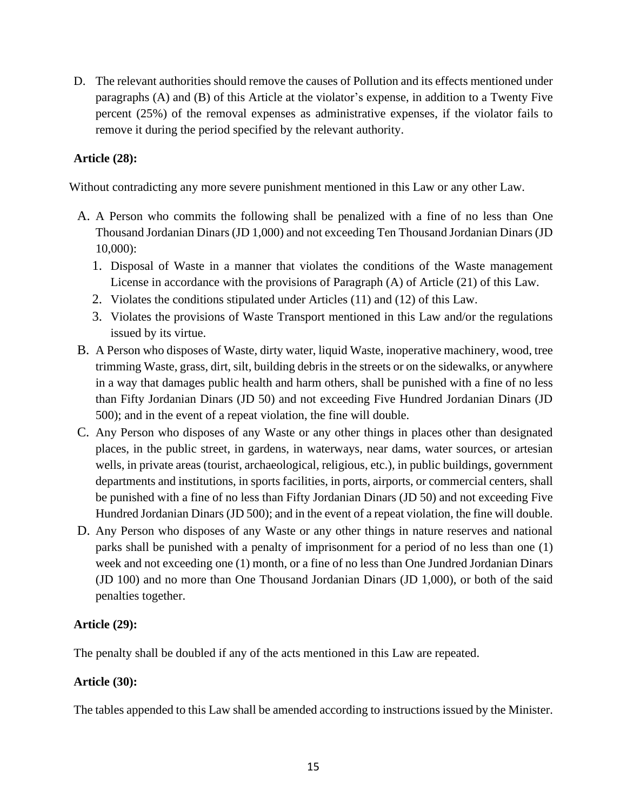D. The relevant authorities should remove the causes of Pollution and its effects mentioned under paragraphs (A) and (B) of this Article at the violator's expense, in addition to a Twenty Five percent (25%) of the removal expenses as administrative expenses, if the violator fails to remove it during the period specified by the relevant authority.

### **Article (28):**

Without contradicting any more severe punishment mentioned in this Law or any other Law.

- A. A Person who commits the following shall be penalized with a fine of no less than One Thousand Jordanian Dinars (JD 1,000) and not exceeding Ten Thousand Jordanian Dinars (JD 10,000):
	- 1. Disposal of Waste in a manner that violates the conditions of the Waste management License in accordance with the provisions of Paragraph (A) of Article (21) of this Law.
	- 2. Violates the conditions stipulated under Articles (11) and (12) of this Law.
	- 3. Violates the provisions of Waste Transport mentioned in this Law and/or the regulations issued by its virtue.
- B. A Person who disposes of Waste, dirty water, liquid Waste, inoperative machinery, wood, tree trimming Waste, grass, dirt, silt, building debris in the streets or on the sidewalks, or anywhere in a way that damages public health and harm others, shall be punished with a fine of no less than Fifty Jordanian Dinars (JD 50) and not exceeding Five Hundred Jordanian Dinars (JD 500); and in the event of a repeat violation, the fine will double.
- C. Any Person who disposes of any Waste or any other things in places other than designated places, in the public street, in gardens, in waterways, near dams, water sources, or artesian wells, in private areas (tourist, archaeological, religious, etc.), in public buildings, government departments and institutions, in sports facilities, in ports, airports, or commercial centers, shall be punished with a fine of no less than Fifty Jordanian Dinars (JD 50) and not exceeding Five Hundred Jordanian Dinars (JD 500); and in the event of a repeat violation, the fine will double.
- D. Any Person who disposes of any Waste or any other things in nature reserves and national parks shall be punished with a penalty of imprisonment for a period of no less than one (1) week and not exceeding one (1) month, or a fine of no less than One Jundred Jordanian Dinars (JD 100) and no more than One Thousand Jordanian Dinars (JD 1,000), or both of the said penalties together.

#### **Article (29):**

The penalty shall be doubled if any of the acts mentioned in this Law are repeated.

## **Article (30):**

The tables appended to this Law shall be amended according to instructions issued by the Minister.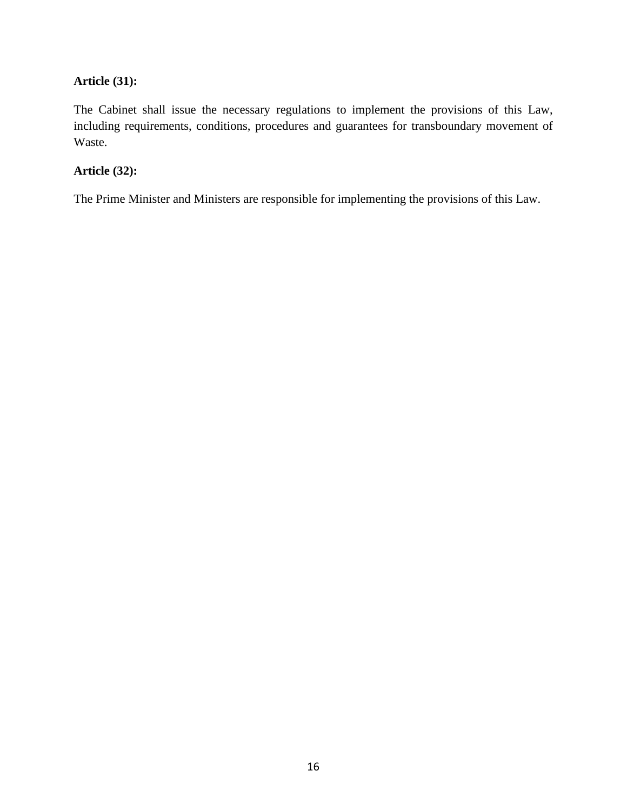## **Article (31):**

The Cabinet shall issue the necessary regulations to implement the provisions of this Law, including requirements, conditions, procedures and guarantees for transboundary movement of Waste.

## **Article (32):**

The Prime Minister and Ministers are responsible for implementing the provisions of this Law.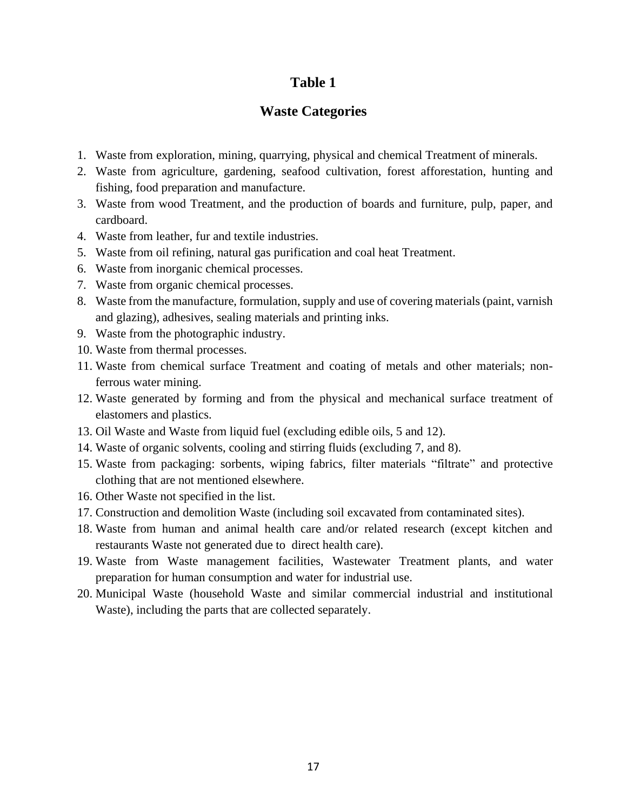## **Waste Categories**

- 1. Waste from exploration, mining, quarrying, physical and chemical Treatment of minerals.
- 2. Waste from agriculture, gardening, seafood cultivation, forest afforestation, hunting and fishing, food preparation and manufacture.
- 3. Waste from wood Treatment, and the production of boards and furniture, pulp, paper, and cardboard.
- 4. Waste from leather, fur and textile industries.
- 5. Waste from oil refining, natural gas purification and coal heat Treatment.
- 6. Waste from inorganic chemical processes.
- 7. Waste from organic chemical processes.
- 8. Waste from the manufacture, formulation, supply and use of covering materials (paint, varnish and glazing), adhesives, sealing materials and printing inks.
- 9. Waste from the photographic industry.
- 10. Waste from thermal processes.
- 11. Waste from chemical surface Treatment and coating of metals and other materials; nonferrous water mining.
- 12. Waste generated by forming and from the physical and mechanical surface treatment of elastomers and plastics.
- 13. Oil Waste and Waste from liquid fuel (excluding edible oils, 5 and 12).
- 14. Waste of organic solvents, cooling and stirring fluids (excluding 7, and 8).
- 15. Waste from packaging: sorbents, wiping fabrics, filter materials "filtrate" and protective clothing that are not mentioned elsewhere.
- 16. Other Waste not specified in the list.
- 17. Construction and demolition Waste (including soil excavated from contaminated sites).
- 18. Waste from human and animal health care and/or related research (except kitchen and restaurants Waste not generated due to direct health care).
- 19. Waste from Waste management facilities, Wastewater Treatment plants, and water preparation for human consumption and water for industrial use.
- 20. Municipal Waste (household Waste and similar commercial industrial and institutional Waste), including the parts that are collected separately.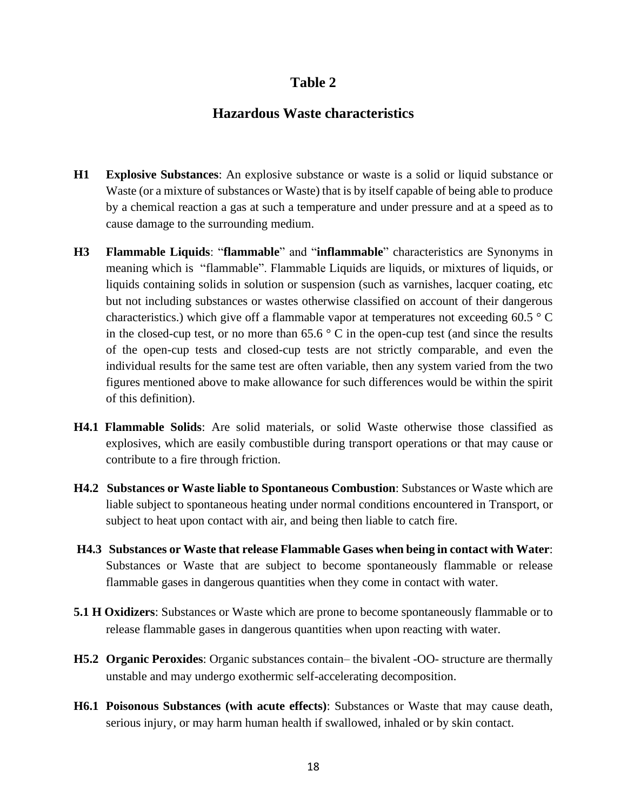### **Hazardous Waste characteristics**

- **H1 Explosive Substances**: An explosive substance or waste is a solid or liquid substance or Waste (or a mixture of substances or Waste) that is by itself capable of being able to produce by a chemical reaction a gas at such a temperature and under pressure and at a speed as to cause damage to the surrounding medium.
- **H3 Flammable Liquids**: "**flammable**" and "**inflammable**" characteristics are Synonyms in meaning which is "flammable". Flammable Liquids are liquids, or mixtures of liquids, or liquids containing solids in solution or suspension (such as varnishes, lacquer coating, etc but not including substances or wastes otherwise classified on account of their dangerous characteristics.) which give off a flammable vapor at temperatures not exceeding 60.5 ° C in the closed-cup test, or no more than  $65.6\degree$  C in the open-cup test (and since the results of the open-cup tests and closed-cup tests are not strictly comparable, and even the individual results for the same test are often variable, then any system varied from the two figures mentioned above to make allowance for such differences would be within the spirit of this definition).
- **H4.1 Flammable Solids**: Are solid materials, or solid Waste otherwise those classified as explosives, which are easily combustible during transport operations or that may cause or contribute to a fire through friction.
- **H4.2 Substances or Waste liable to Spontaneous Combustion**: Substances or Waste which are liable subject to spontaneous heating under normal conditions encountered in Transport, or subject to heat upon contact with air, and being then liable to catch fire.
- **H4.3 Substances or Waste that release Flammable Gases when being in contact with Water**: Substances or Waste that are subject to become spontaneously flammable or release flammable gases in dangerous quantities when they come in contact with water.
- **5.1 H Oxidizers**: Substances or Waste which are prone to become spontaneously flammable or to release flammable gases in dangerous quantities when upon reacting with water.
- **H5.2 Organic Peroxides**: Organic substances contain– the bivalent -OO- structure are thermally unstable and may undergo exothermic self-accelerating decomposition.
- **H6.1 Poisonous Substances (with acute effects)**: Substances or Waste that may cause death, serious injury, or may harm human health if swallowed, inhaled or by skin contact.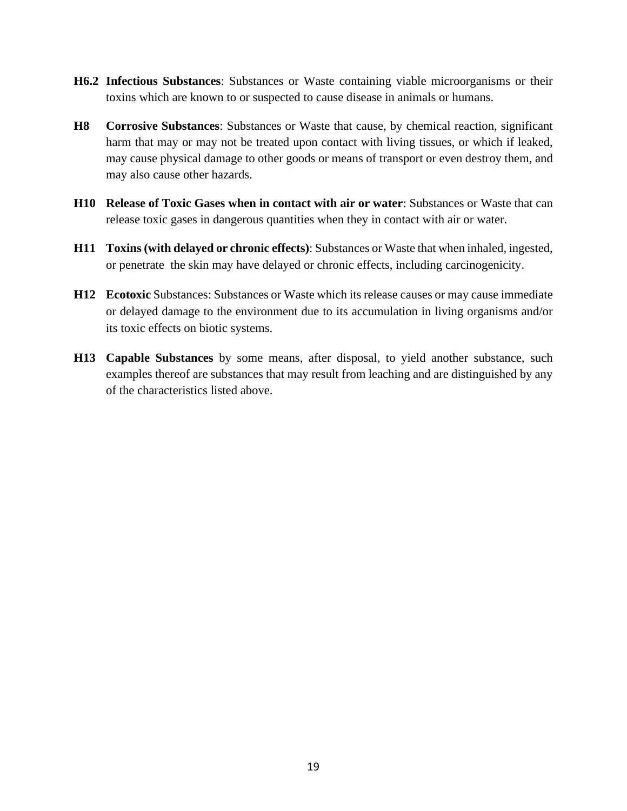- **H6.2 Infectious Substances**: Substances or Waste containing viable microorganisms or their toxins which are known to or suspected to cause disease in animals or humans.
- **H8 Corrosive Substances**: Substances or Waste that cause, by chemical reaction, significant harm that may or may not be treated upon contact with living tissues, or which if leaked, may cause physical damage to other goods or means of transport or even destroy them, and may also cause other hazards.
- **H10 Release of Toxic Gases when in contact with air or water**: Substances or Waste that can release toxic gases in dangerous quantities when they in contact with air or water.
- **H11 Toxins (with delayed or chronic effects)**: Substances or Waste that when inhaled, ingested, or penetrate the skin may have delayed or chronic effects, including carcinogenicity.
- **H12 Ecotoxic** Substances: Substances or Waste which its release causes or may cause immediate or delayed damage to the environment due to its accumulation in living organisms and/or its toxic effects on biotic systems.
- **H13 Capable Substances** by some means, after disposal, to yield another substance, such examples thereof are substances that may result from leaching and are distinguished by any of the characteristics listed above.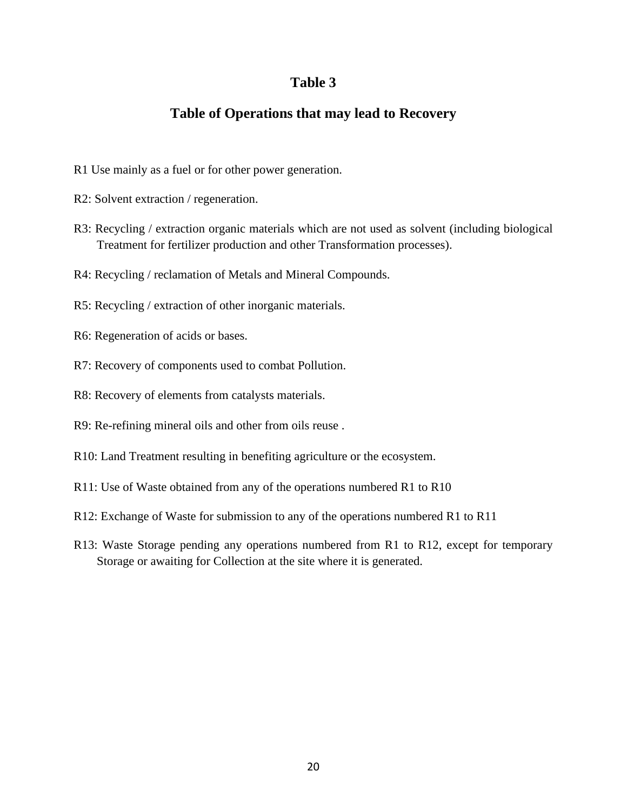## **Table of Operations that may lead to Recovery**

- R1 Use mainly as a fuel or for other power generation.
- R2: Solvent extraction / regeneration.
- R3: Recycling / extraction organic materials which are not used as solvent (including biological Treatment for fertilizer production and other Transformation processes).
- R4: Recycling / reclamation of Metals and Mineral Compounds.
- R5: Recycling / extraction of other inorganic materials.
- R6: Regeneration of acids or bases.
- R7: Recovery of components used to combat Pollution.
- R8: Recovery of elements from catalysts materials.
- R9: Re-refining mineral oils and other from oils reuse .
- R10: Land Treatment resulting in benefiting agriculture or the ecosystem.
- R11: Use of Waste obtained from any of the operations numbered R1 to R10
- R12: Exchange of Waste for submission to any of the operations numbered R1 to R11
- R13: Waste Storage pending any operations numbered from R1 to R12, except for temporary Storage or awaiting for Collection at the site where it is generated.